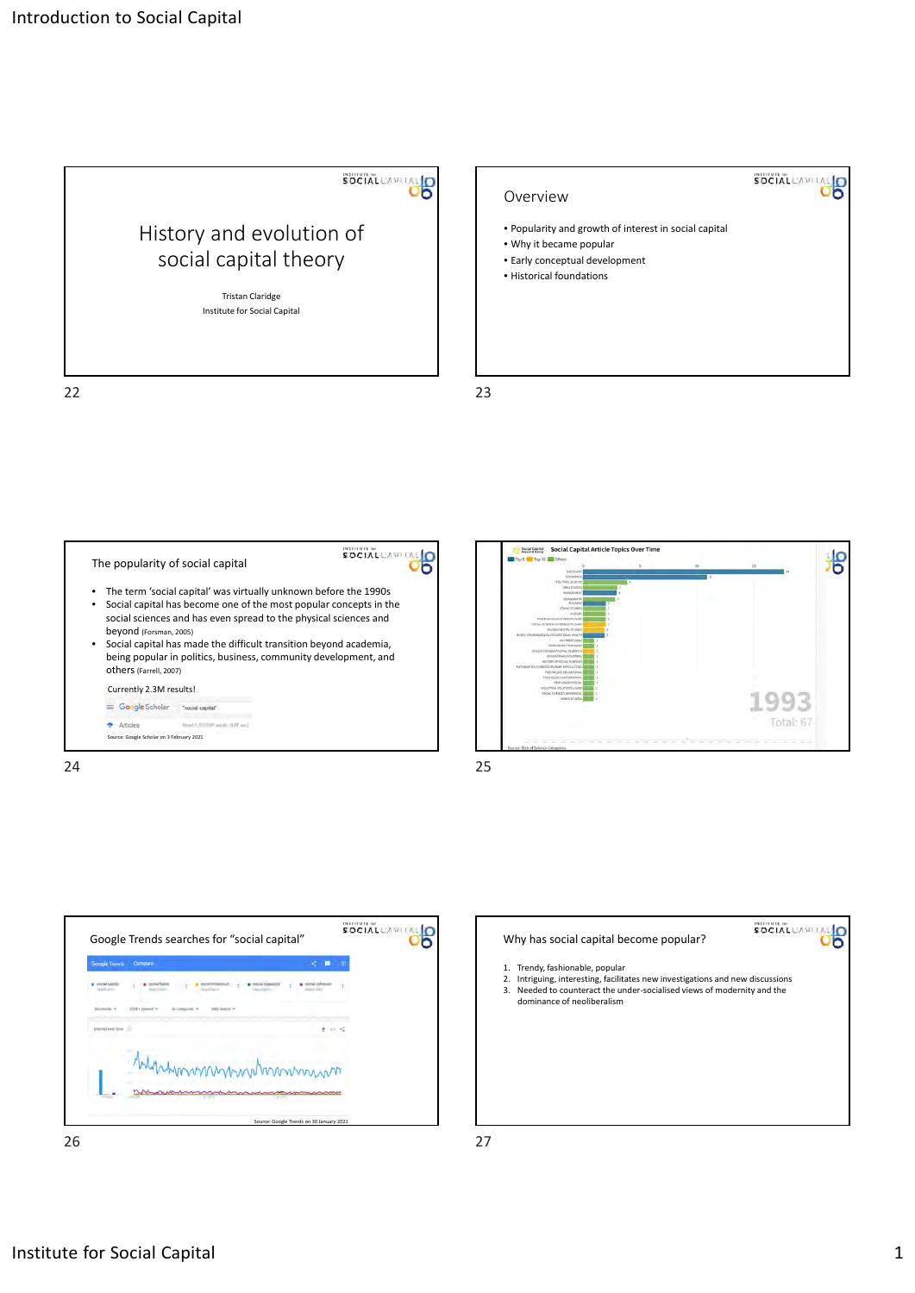











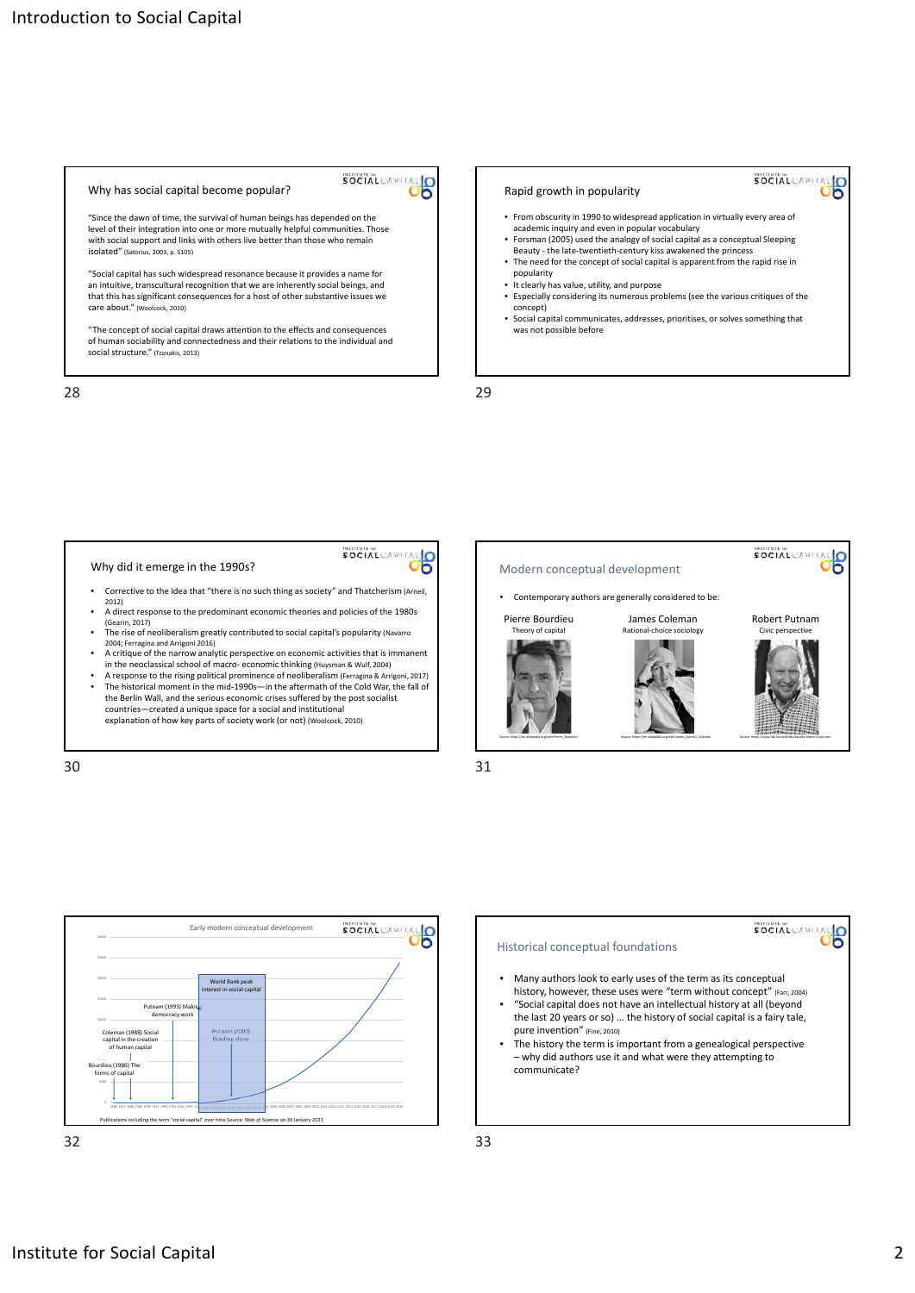|  | Why has social capital become popular?                                                                                                                                                                                                                                                                                                                                                                                                                                                                                                                                        | <b>SOCIAL</b> CAPI |
|--|-------------------------------------------------------------------------------------------------------------------------------------------------------------------------------------------------------------------------------------------------------------------------------------------------------------------------------------------------------------------------------------------------------------------------------------------------------------------------------------------------------------------------------------------------------------------------------|--------------------|
|  | "Since the dawn of time, the survival of human beings has depended on the<br>level of their integration into one or more mutually helpful communities. Those<br>with social support and links with others live better than those who remain<br>isolated" (Satorius, 2003, p. \$105)<br>"Social capital has such widespread resonance because it provides a name for<br>an intuitive, transcultural recognition that we are inherently social beings, and<br>that this has significant consequences for a host of other substantive issues we<br>care about." (Woolcock, 2010) |                    |
|  |                                                                                                                                                                                                                                                                                                                                                                                                                                                                                                                                                                               |                    |
|  |                                                                                                                                                                                                                                                                                                                                                                                                                                                                                                                                                                               |                    |

"The concept of social capital draws attention to the effects and consequences of human sociability and connectedness and their relations to the individual and social structure." (Tzanakis, 2013)

28 29



## Why did it emerge in the 1990s?

• Corrective to the idea that "there is no such thing as society" and Thatcherism (Arneil, 2012)

SOCIAL CAPITAL O

- A direct response to the predominant economic theories and policies of the 1980s (Gearin, 2017)
- The rise of neoliberalism greatly contributed to social capital's popularity (Navarro 2004; Ferragina and Arrigoni 2016)
- A critique of the narrow analytic perspective on economic activities that is immanent in the neoclassical school of macro‐ economic thinking (Huysman & Wulf, 2004)
- A response to the rising political prominence of neoliberalism (Ferragina & Arrigoni, 2017) The historical moment in the mid‐1990s—in the aftermath of the Cold War, the fall of the Berlin Wall, and the serious economic crises suffered by the post socialist countries—created a unique space for a social and institutional explanation of how key parts of society work (or not) (Woolcock, 2010)